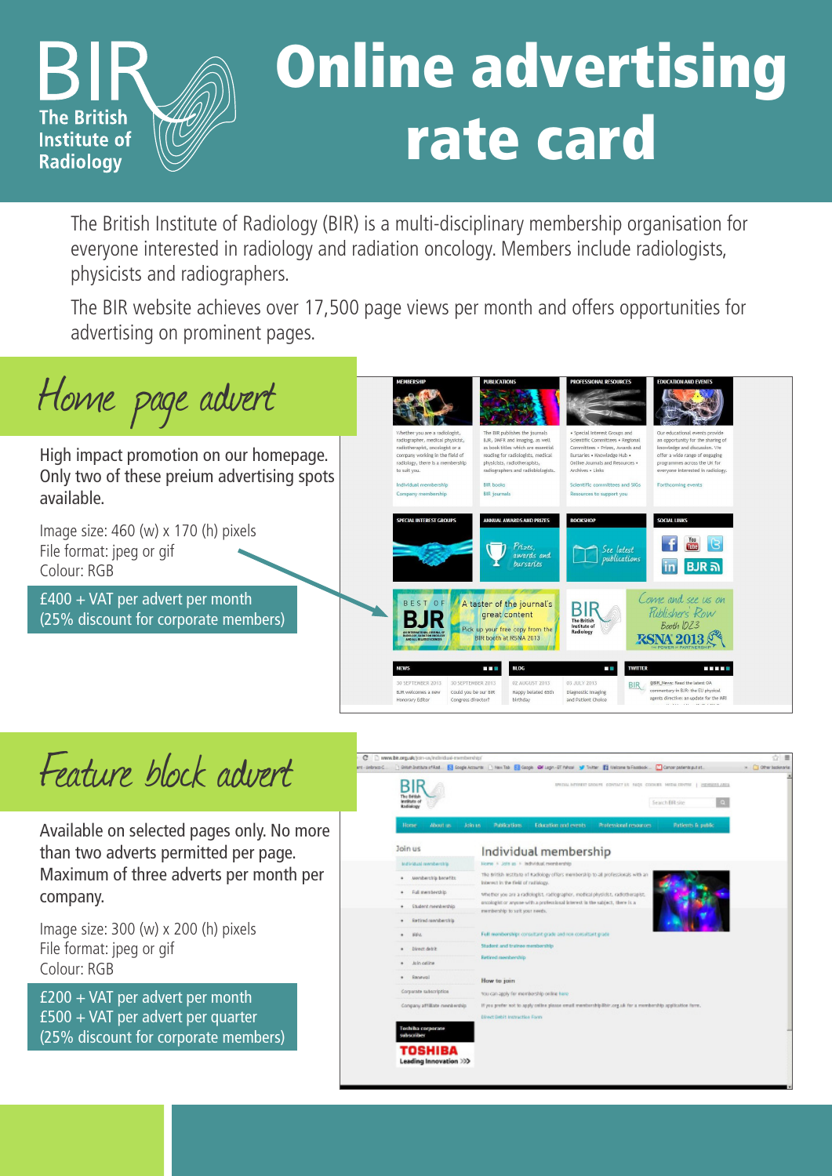

## Online advertising rate card

The British Institute of Radiology (BIR) is a multi-disciplinary membership organisation for everyone interested in radiology and radiation oncology. Members include radiologists, physicists and radiographers.

The BIR website achieves over 17,500 page views per month and offers opportunities for advertising on prominent pages.



Feature block advert

Available on selected pages only. No more than two adverts permitted per page. Maximum of three adverts per month per company.

Image size: 300 (w) x 200 (h) pixels File format: jpeg or gif Colour: RGB

£200 + VAT per advert per month £500 + VAT per advert per quarter (25% discount for corporate members)